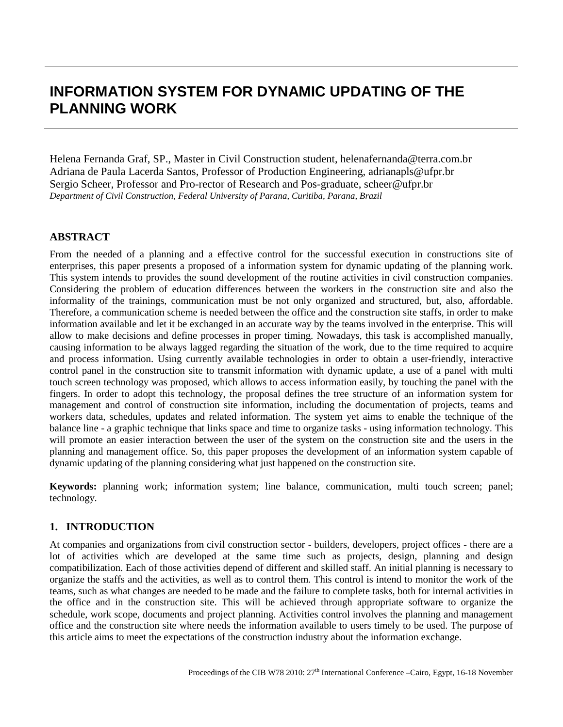# **INFORMATION SYSTEM FOR DYNAMIC UPDATING OF THE PLANNING WORK**

Helena Fernanda Graf, SP., Master in Civil Construction student, [helenafernanda@terra.com.br](mailto:helenafernanda@terra.com.br) Adriana de Paula Lacerda Santos, Professor of Production Engineering, adrianapls@ufpr.br Sergio Scheer, Professor and Pro-rector of Research and Pos-graduate, scheer@ufpr.br *Department of Civil Construction, Federal University of Parana, Curitiba, Parana, Brazil*

# **ABSTRACT**

From the needed of a planning and a effective control for the successful execution in constructions site of enterprises, this paper presents a proposed of a information system for dynamic updating of the planning work. This system intends to provides the sound development of the routine activities in civil construction companies. Considering the problem of education differences between the workers in the construction site and also the informality of the trainings, communication must be not only organized and structured, but, also, affordable. Therefore, a communication scheme is needed between the office and the construction site staffs, in order to make information available and let it be exchanged in an accurate way by the teams involved in the enterprise. This will allow to make decisions and define processes in proper timing. Nowadays, this task is accomplished manually, causing information to be always lagged regarding the situation of the work, due to the time required to acquire and process information. Using currently available technologies in order to obtain a user-friendly, interactive control panel in the construction site to transmit information with dynamic update, a use of a panel with multi touch screen technology was proposed, which allows to access information easily, by touching the panel with the fingers. In order to adopt this technology, the proposal defines the tree structure of an information system for management and control of construction site information, including the documentation of projects, teams and workers data, schedules, updates and related information. The system yet aims to enable the technique of the balance line - a graphic technique that links space and time to organize tasks - using information technology. This will promote an easier interaction between the user of the system on the construction site and the users in the planning and management office. So, this paper proposes the development of an information system capable of dynamic updating of the planning considering what just happened on the construction site.

**Keywords:** planning work; information system; line balance, communication, multi touch screen; panel; technology.

# **1. INTRODUCTION**

At companies and organizations from civil construction sector - builders, developers, project offices - there are a lot of activities which are developed at the same time such as projects, design, planning and design compatibilization. Each of those activities depend of different and skilled staff. An initial planning is necessary to organize the staffs and the activities, as well as to control them. This control is intend to monitor the work of the teams, such as what changes are needed to be made and the failure to complete tasks, both for internal activities in the office and in the construction site. This will be achieved through appropriate software to organize the schedule, work scope, documents and project planning. Activities control involves the planning and management office and the construction site where needs the information available to users timely to be used. The purpose of this article aims to meet the expectations of the construction industry about the information exchange.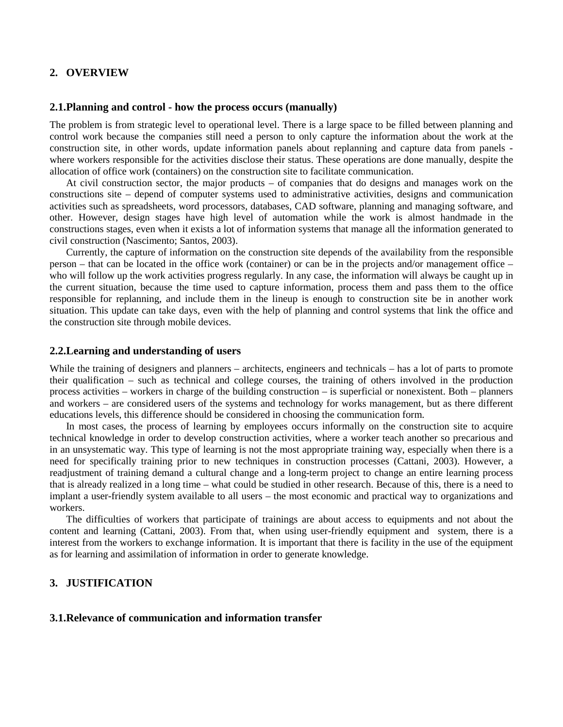# **2. OVERVIEW**

#### **2.1. Planning and control - how the process occurs (manually)**

The problem is from strategic level to operational level. There is a large space to be filled between planning and control work because the companies still need a person to only capture the information about the work at the construction site, in other words, update information panels about replanning and capture data from panels where workers responsible for the activities disclose their status. These operations are done manually, despite the allocation of office work (containers) on the construction site to facilitate communication.

At civil construction sector, the major products – of companies that do designs and manages work on the constructions site – depend of computer systems used to administrative activities, designs and communication activities such as spreadsheets, word processors, databases, CAD software, planning and managing software, and other. However, design stages have high level of automation while the work is almost handmade in the constructions stages, even when it exists a lot of information systems that manage all the information generated to civil construction (Nascimento; Santos, 2003).

Currently, the capture of information on the construction site depends of the availability from the responsible person – that can be located in the office work (container) or can be in the projects and/or management office – who will follow up the work activities progress regularly. In any case, the information will always be caught up in the current situation, because the time used to capture information, process them and pass them to the office responsible for replanning, and include them in the lineup is enough to construction site be in another work situation. This update can take days, even with the help of planning and control systems that link the office and the construction site through mobile devices.

#### **2.2.Learning and understanding of users**

While the training of designers and planners – architects, engineers and technicals – has a lot of parts to promote their qualification – such as technical and college courses, the training of others involved in the production process activities – workers in charge of the building construction – is superficial or nonexistent. Both – planners and workers – are considered users of the systems and technology for works management, but as there different educations levels, this difference should be considered in choosing the communication form.

In most cases, the process of learning by employees occurs informally on the construction site to acquire technical knowledge in order to develop construction activities, where a worker teach another so precarious and in an unsystematic way. This type of learning is not the most appropriate training way, especially when there is a need for specifically training prior to new techniques in construction processes (Cattani, 2003). However, a readjustment of training demand a cultural change and a long-term project to change an entire learning process that is already realized in a long time – what could be studied in other research. Because of this, there is a need to implant a user-friendly system available to all users – the most economic and practical way to organizations and workers.

The difficulties of workers that participate of trainings are about access to equipments and not about the content and learning (Cattani, 2003). From that, when using user-friendly equipment and system, there is a interest from the workers to exchange information. It is important that there is facility in the use of the equipment as for learning and assimilation of information in order to generate knowledge.

# **3. JUSTIFICATION**

#### **3.1.Relevance of communication and information transfer**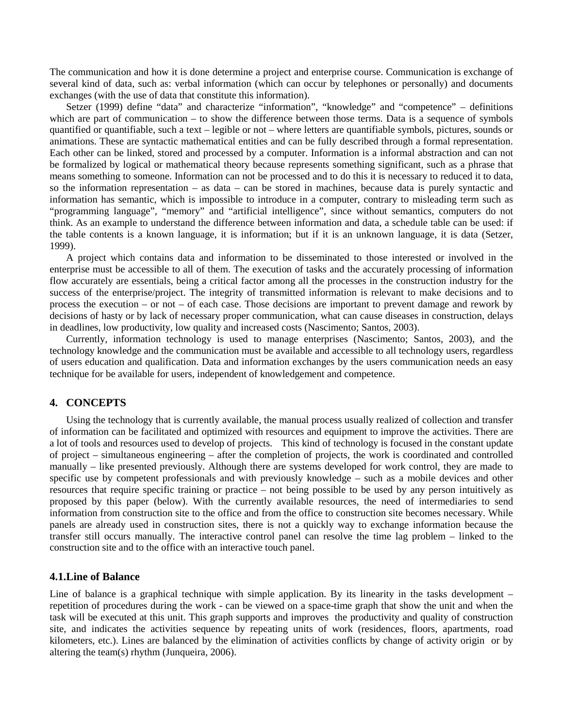The communication and how it is done determine a project and enterprise course. Communication is exchange of several kind of data, such as: verbal information (which can occur by telephones or personally) and documents exchanges (with the use of data that constitute this information).

Setzer (1999) define "data" and characterize "information", "knowledge" and "competence" – definitions which are part of communication – to show the difference between those terms. Data is a sequence of symbols quantified or quantifiable, such a text – legible or not – where letters are quantifiable symbols, pictures, sounds or animations. These are syntactic mathematical entities and can be fully described through a formal representation. Each other can be linked, stored and processed by a computer. Information is a informal abstraction and can not be formalized by logical or mathematical theory because represents something significant, such as a phrase that means something to someone. Information can not be processed and to do this it is necessary to reduced it to data, so the information representation – as data – can be stored in machines, because data is purely syntactic and information has semantic, which is impossible to introduce in a computer, contrary to misleading term such as "programming language", "memory" and "artificial intelligence", since without semantics, computers do not think. As an example to understand the difference between information and data, a schedule table can be used: if the table contents is a known language, it is information; but if it is an unknown language, it is data (Setzer, 1999).

A project which contains data and information to be disseminated to those interested or involved in the enterprise must be accessible to all of them. The execution of tasks and the accurately processing of information flow accurately are essentials, being a critical factor among all the processes in the construction industry for the success of the enterprise/project. The integrity of transmitted information is relevant to make decisions and to process the execution – or not – of each case. Those decisions are important to prevent damage and rework by decisions of hasty or by lack of necessary proper communication, what can cause diseases in construction, delays in deadlines, low productivity, low quality and increased costs (Nascimento; Santos, 2003).

Currently, information technology is used to manage enterprises (Nascimento; Santos, 2003), and the technology knowledge and the communication must be available and accessible to all technology users, regardless of users education and qualification. Data and information exchanges by the users communication needs an easy technique for be available for users, independent of knowledgement and competence.

#### **4. CONCEPTS**

Using the technology that is currently available, the manual process usually realized of collection and transfer of information can be facilitated and optimized with resources and equipment to improve the activities. There are a lot of tools and resources used to develop of projects. This kind of technology is focused in the constant update of project – simultaneous engineering – after the completion of projects, the work is coordinated and controlled manually – like presented previously. Although there are systems developed for work control, they are made to specific use by competent professionals and with previously knowledge – such as a mobile devices and other resources that require specific training or practice – not being possible to be used by any person intuitively as proposed by this paper (below). With the currently available resources, the need of intermediaries to send information from construction site to the office and from the office to construction site becomes necessary. While panels are already used in construction sites, there is not a quickly way to exchange information because the transfer still occurs manually. The interactive control panel can resolve the time lag problem – linked to the construction site and to the office with an interactive touch panel.

#### **4.1.Line of Balance**

Line of balance is a graphical technique with simple application. By its linearity in the tasks development – repetition of procedures during the work - can be viewed on a space-time graph that show the unit and when the task will be executed at this unit. This graph supports and improves the productivity and quality of construction site, and indicates the activities sequence by repeating units of work (residences, floors, apartments, road kilometers, etc.). Lines are balanced by the elimination of activities conflicts by change of activity origin or by altering the team(s) rhythm (Junqueira, 2006).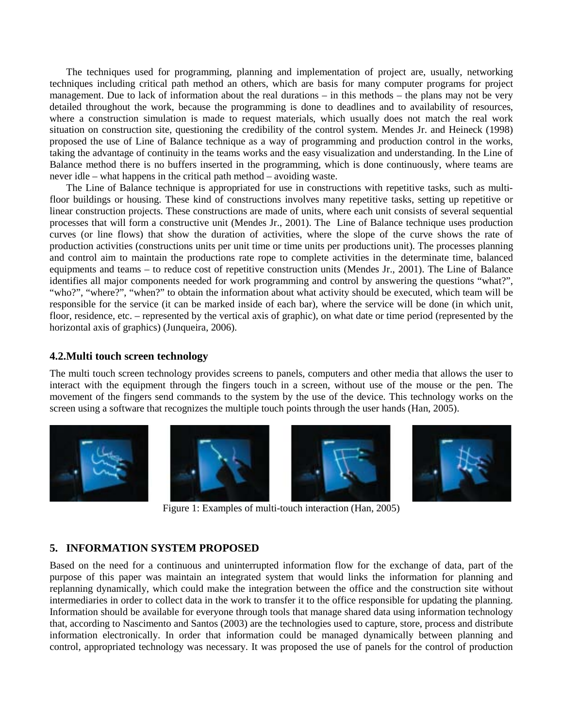The techniques used for programming, planning and implementation of project are, usually, networking techniques including critical path method an others, which are basis for many computer programs for project management. Due to lack of information about the real durations – in this methods – the plans may not be very detailed throughout the work, because the programming is done to deadlines and to availability of resources, where a construction simulation is made to request materials, which usually does not match the real work situation on construction site, questioning the credibility of the control system. Mendes Jr. and Heineck (1998) proposed the use of Line of Balance technique as a way of programming and production control in the works, taking the advantage of continuity in the teams works and the easy visualization and understanding. In the Line of Balance method there is no buffers inserted in the programming, which is done continuously, where teams are never idle – what happens in the critical path method – avoiding waste.

The Line of Balance technique is appropriated for use in constructions with repetitive tasks, such as multifloor buildings or housing. These kind of constructions involves many repetitive tasks, setting up repetitive or linear construction projects. These constructions are made of units, where each unit consists of several sequential processes that will form a constructive unit (Mendes Jr., 2001). The Line of Balance technique uses production curves (or line flows) that show the duration of activities, where the slope of the curve shows the rate of production activities (constructions units per unit time or time units per productions unit). The processes planning and control aim to maintain the productions rate rope to complete activities in the determinate time, balanced equipments and teams – to reduce cost of repetitive construction units (Mendes Jr., 2001). The Line of Balance identifies all major components needed for work programming and control by answering the questions "what?", "who?", "where?", "when?" to obtain the information about what activity should be executed, which team will be responsible for the service (it can be marked inside of each bar), where the service will be done (in which unit, floor, residence, etc. – represented by the vertical axis of graphic), on what date or time period (represented by the horizontal axis of graphics) (Junqueira, 2006).

# **4.2.Multi touch screen technology**

The multi touch screen technology provides screens to panels, computers and other media that allows the user to interact with the equipment through the fingers touch in a screen, without use of the mouse or the pen. The movement of the fingers send commands to the system by the use of the device. This technology works on the screen using a software that recognizes the multiple touch points through the user hands (Han, 2005).



Figure 1: Examples of multi-touch interaction (Han, 2005)

# **5. INFORMATION SYSTEM PROPOSED**

Based on the need for a continuous and uninterrupted information flow for the exchange of data, part of the purpose of this paper was maintain an integrated system that would links the information for planning and replanning dynamically, which could make the integration between the office and the construction site without intermediaries in order to collect data in the work to transfer it to the office responsible for updating the planning. Information should be available for everyone through tools that manage shared data using information technology that, according to Nascimento and Santos (2003) are the technologies used to capture, store, process and distribute information electronically. In order that information could be managed dynamically between planning and control, appropriated technology was necessary. It was proposed the use of panels for the control of production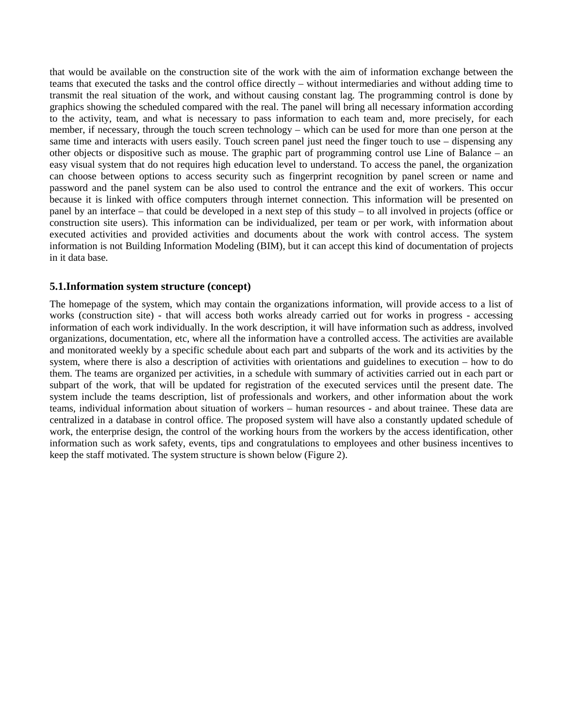that would be available on the construction site of the work with the aim of information exchange between the teams that executed the tasks and the control office directly – without intermediaries and without adding time to transmit the real situation of the work, and without causing constant lag. The programming control is done by graphics showing the scheduled compared with the real. The panel will bring all necessary information according to the activity, team, and what is necessary to pass information to each team and, more precisely, for each member, if necessary, through the touch screen technology – which can be used for more than one person at the same time and interacts with users easily. Touch screen panel just need the finger touch to use – dispensing any other objects or dispositive such as mouse. The graphic part of programming control use Line of Balance – an easy visual system that do not requires high education level to understand. To access the panel, the organization can choose between options to access security such as fingerprint recognition by panel screen or name and password and the panel system can be also used to control the entrance and the exit of workers. This occur because it is linked with office computers through internet connection. This information will be presented on panel by an interface – that could be developed in a next step of this study – to all involved in projects (office or construction site users). This information can be individualized, per team or per work, with information about executed activities and provided activities and documents about the work with control access. The system information is not Building Information Modeling (BIM), but it can accept this kind of documentation of projects in it data base.

# **5.1.Information system structure ( concept)**

The homepage of the system, which may contain the organizations information, will provide access to a list of works (construction site) - that will access both works already carried out for works in progress - accessing information of each work individually. In the work description, it will have information such as address, involved organizations, documentation, etc, where all the information have a controlled access. The activities are available and monitorated weekly by a specific schedule about each part and subparts of the work and its activities by the system, where there is also a description of activities with orientations and guidelines to execution – how to do them. The teams are organized per activities, in a schedule with summary of activities carried out in each part or subpart of the work, that will be updated for registration of the executed services until the present date. The system include the teams description, list of professionals and workers, and other information about the work teams, individual information about situation of workers – human resources - and about trainee. These data are centralized in a database in control office. The proposed system will have also a constantly updated schedule of work, the enterprise design, the control of the working hours from the workers by the access identification, other information such as work safety, events, tips and congratulations to employees and other business incentives to keep the staff motivated. The system structure is shown below (Figure 2).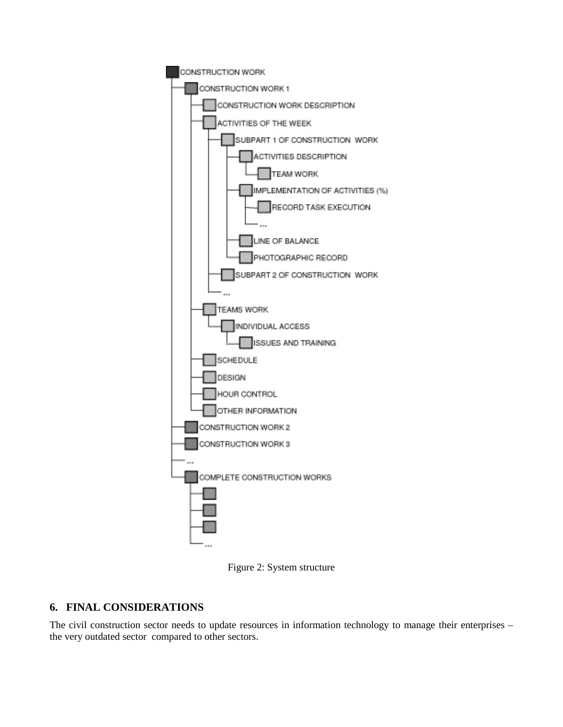



# **6. FINAL CONSIDERATIONS**

The civil construction sector needs to update resources in information technology to manage their enterprises – the very outdated sector compared to other sectors.